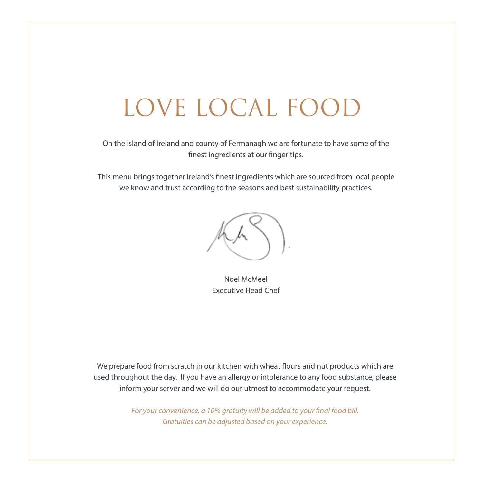# LOVE LOCAL FOOD

On the island of Ireland and county of Fermanagh we are fortunate to have some of the finest ingredients at our finger tips.

This menu brings together Ireland's finest ingredients which are sourced from local people we know and trust according to the seasons and best sustainability practices.



Noel McMeel Executive Head Chef

We prepare food from scratch in our kitchen with wheat flours and nut products which are used throughout the day. If you have an allergy or intolerance to any food substance, please inform your server and we will do our utmost to accommodate your request.

> *For your convenience, a 10% gratuity will be added to your final food bill. Gratuities can be adjusted based on your experience.*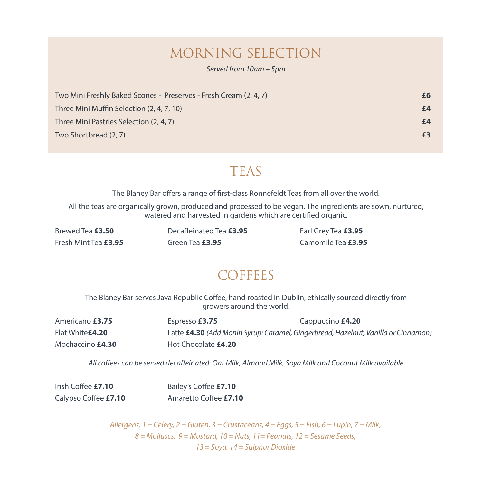# MORNING SELECTION

*Served from 10am – 5pm* 

| Two Mini Freshly Baked Scones - Preserves - Fresh Cream (2, 4, 7) |  |
|-------------------------------------------------------------------|--|
| Three Mini Muffin Selection (2, 4, 7, 10)                         |  |
| Three Mini Pastries Selection (2, 4, 7)                           |  |
| Two Shortbread (2, 7)                                             |  |

# TEAS

The Blaney Bar offers a range of first-class Ronnefeldt Teas from all over the world.

All the teas are organically grown, produced and processed to be vegan. The ingredients are sown, nurtured, watered and harvested in gardens which are certified organic.

Fresh Mint Tea **£3.95** Green Tea **£3.95** Camomile Tea **£3.95**

Brewed Tea **£3.50** Decaffeinated Tea **£3.95** Earl Grey Tea **£3.95**

# **COFFEES**

The Blaney Bar serves Java Republic Coffee, hand roasted in Dublin, ethically sourced directly from growers around the world.

| Americano £3.75         | Espresso £3.75      | Cappuccino £4.20                                                                   |
|-------------------------|---------------------|------------------------------------------------------------------------------------|
| Flat White <b>£4.20</b> |                     | Latte £4.30 (Add Monin Syrup: Caramel, Gingerbread, Hazelnut, Vanilla or Cinnamon) |
| Mochaccino <b>£4.30</b> | Hot Chocolate £4.20 |                                                                                    |

*All coffees can be served decaffeinated. Oat Milk, Almond Milk, Soya Milk and Coconut Milk available*

| Irish Coffee £7.10   | Bailey's Coffee £7.10 |
|----------------------|-----------------------|
| Calypso Coffee £7.10 | Amaretto Coffee £7.10 |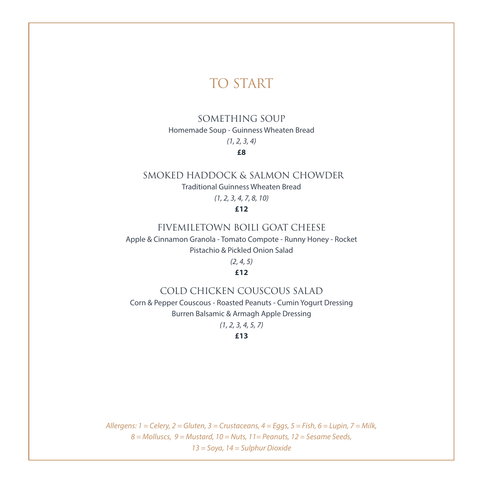## TO START

### SOMETHING SOUP

Homemade Soup - Guinness Wheaten Bread

### *(1, 2, 3, 4)*

### **£8**

### SMOKED HADDOCK & SALMON CHOWDER

Traditional Guinness Wheaten Bread

*(1, 2, 3, 4, 7, 8, 10)*

#### **£12**

#### FIVEMILETOWN BOILI GOAT CHEESE

Apple & Cinnamon Granola - Tomato Compote - Runny Honey - Rocket Pistachio & Pickled Onion Salad

*(2, 4, 5)*

#### **£12**

#### COLD CHICKEN COUSCOUS SALAD

Corn & Pepper Couscous - Roasted Peanuts - Cumin Yogurt Dressing Burren Balsamic & Armagh Apple Dressing

*(1, 2, 3, 4, 5, 7)*

**£13**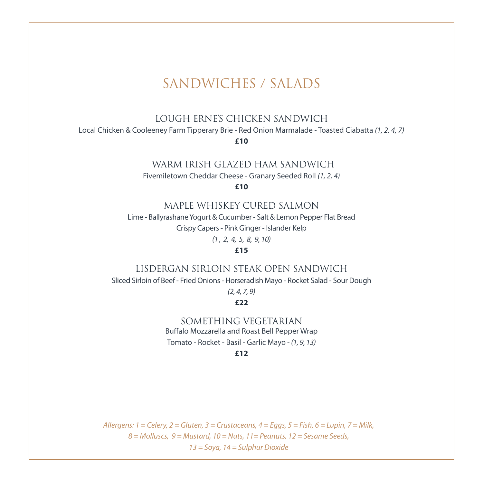### SANDWICHES / SALADS

LOUGH ERNE'S CHICKEN SANDWICH

Local Chicken & Cooleeney Farm Tipperary Brie - Red Onion Marmalade - Toasted Ciabatta *(1, 2, 4, 7)*

**£10**

#### WARM IRISH GLAZED HAM SANDWICH

Fivemiletown Cheddar Cheese - Granary Seeded Roll *(1, 2, 4)*

**£10**

#### MAPLE WHISKEY CURED SALMON

Lime - Ballyrashane Yogurt & Cucumber - Salt & Lemon Pepper Flat Bread Crispy Capers - Pink Ginger - Islander Kelp *(1 , 2, 4, 5, 8, 9, 10)*

**£15**

#### LISDERGAN SIRLOIN STEAK OPEN SANDWICH

Sliced Sirloin of Beef - Fried Onions - Horseradish Mayo - Rocket Salad - Sour Dough

*(2, 4, 7, 9)*

#### **£22**

SOMETHING VEGETARIAN Buffalo Mozzarella and Roast Bell Pepper Wrap Tomato - Rocket - Basil - Garlic Mayo - *(1, 9, 13)*

**£12**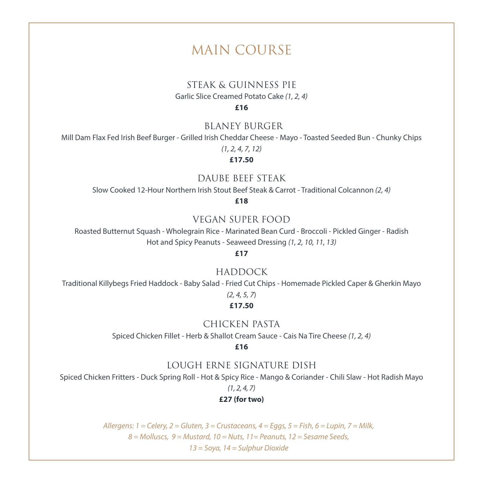### MAIN COURSE

#### STEAK & GUINNESS PIE

Garlic Slice Creamed Potato Cake *(1, 2, 4)*

**£16**

#### BLANEY BURGER

Mill Dam Flax Fed Irish Beef Burger - Grilled Irish Cheddar Cheese - Mayo - Toasted Seeded Bun - Chunky Chips

*(1, 2, 4, 7, 12)*

**£17.50**

#### DAUBE BEEF STEAK

Slow Cooked 12-Hour Northern Irish Stout Beef Steak & Carrot - Traditional Colcannon *(2, 4)*

**£18**

#### VEGAN SUPER FOOD

Roasted Butternut Squash - Wholegrain Rice - Marinated Bean Curd - Broccoli - Pickled Ginger - Radish Hot and Spicy Peanuts - Seaweed Dressing *(1, 2, 10, 11, 13)*

**£17**

#### HADDOCK

Traditional Killybegs Fried Haddock - Baby Salad - Fried Cut Chips - Homemade Pickled Caper & Gherkin Mayo

### *(2, 4, 5, 7*)

#### **£17.50**

#### CHICKEN PASTA

Spiced Chicken Fillet - Herb & Shallot Cream Sauce - Cais Na Tire Cheese *(1, 2, 4)*

**£16**

#### LOUGH ERNE SIGNATURE DISH

Spiced Chicken Fritters - Duck Spring Roll - Hot & Spicy Rice - Mango & Coriander - Chili Slaw - Hot Radish Mayo

*(1, 2, 4, 7)*

#### **£27 (for two)**